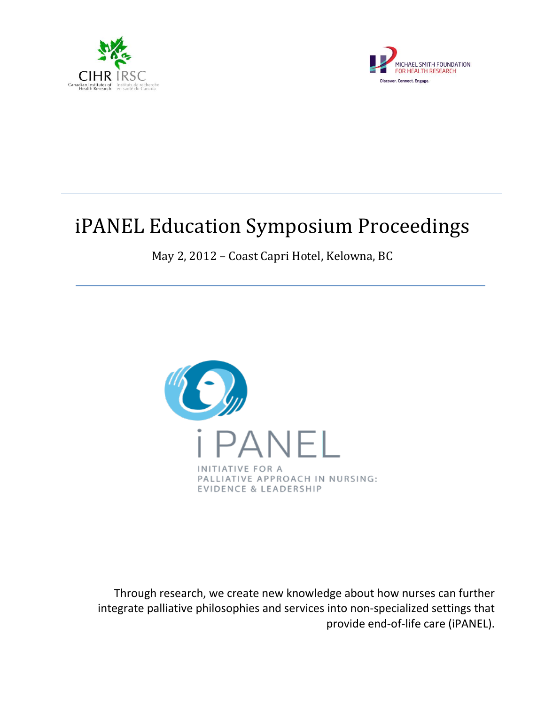



# iPANEL Education Symposium Proceedings

May 2, 2012 – Coast Capri Hotel, Kelowna, BC



Through research, we create new knowledge about how nurses can further integrate palliative philosophies and services into non-specialized settings that provide end-of-life care (iPANEL).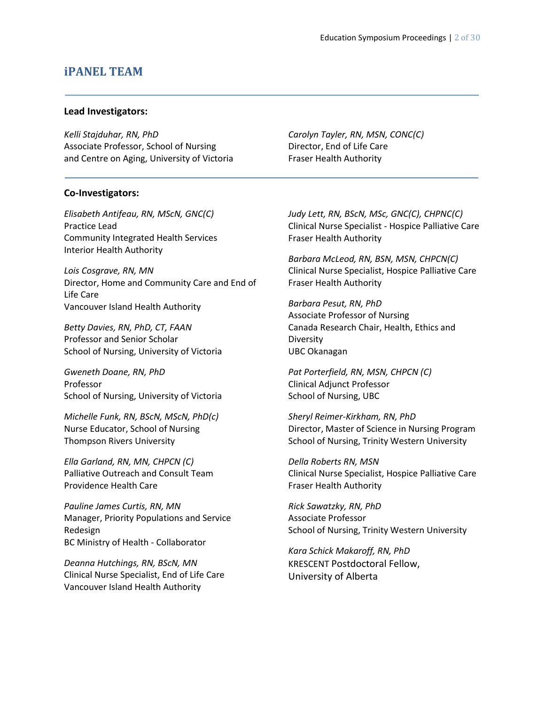#### **iPANEL TEAM**

#### **Lead Investigators:**

*Kelli Stajduhar, RN, PhD* Associate Professor, School of Nursing and Centre on Aging, University of Victoria *Carolyn Tayler, RN, MSN, CONC(C)* Director, End of Life Care Fraser Health Authority

#### **Co-Investigators:**

*Elisabeth Antifeau, RN, MScN, GNC(C)* Practice Lead Community Integrated Health Services Interior Health Authority

*Lois Cosgrave, RN, MN* Director, Home and Community Care and End of Life Care Vancouver Island Health Authority

*Betty Davies, RN, PhD, CT, FAAN* Professor and Senior Scholar School of Nursing, University of Victoria

*Gweneth Doane, RN, PhD* Professor School of Nursing, University of Victoria

*Michelle Funk, RN, BScN, MScN, PhD(c)* Nurse Educator, School of Nursing Thompson Rivers University

*Ella Garland, RN, MN, CHPCN (C)* Palliative Outreach and Consult Team Providence Health Care

*Pauline James Curtis, RN, MN* Manager, Priority Populations and Service Redesign BC Ministry of Health - Collaborator

*Deanna Hutchings, RN, BScN, MN* Clinical Nurse Specialist, End of Life Care Vancouver Island Health Authority

*Judy Lett, RN, BScN, MSc, GNC(C), CHPNC(C)* Clinical Nurse Specialist - Hospice Palliative Care Fraser Health Authority

*Barbara McLeod, RN, BSN, MSN, CHPCN(C)* Clinical Nurse Specialist, Hospice Palliative Care Fraser Health Authority

*Barbara Pesut, RN, PhD* Associate Professor of Nursing Canada Research Chair, Health, Ethics and **Diversity** UBC Okanagan

*Pat Porterfield, RN, MSN, CHPCN (C)* Clinical Adjunct Professor School of Nursing, UBC

*Sheryl Reimer-Kirkham, RN, PhD* Director, Master of Science in Nursing Program School of Nursing, Trinity Western University

*Della Roberts RN, MSN*  Clinical Nurse Specialist, Hospice Palliative Care Fraser Health Authority

*Rick Sawatzky, RN, PhD* Associate Professor School of Nursing, Trinity Western University

*Kara Schick Makaroff, RN, PhD* KRESCENT Postdoctoral Fellow, University of Alberta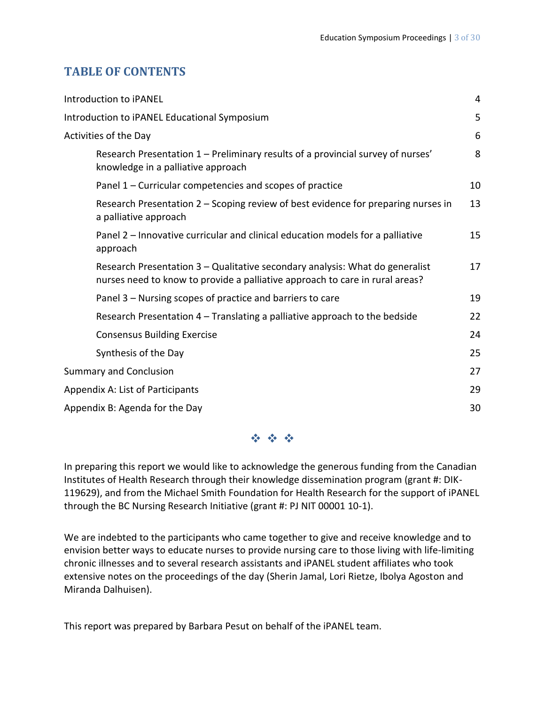## **TABLE OF CONTENTS**

| 4  |
|----|
| 5  |
| 6  |
| 8  |
| 10 |
| 13 |
| 15 |
| 17 |
| 19 |
| 22 |
| 24 |
| 25 |
| 27 |
| 29 |
| 30 |
|    |

**经合金** 

In preparing this report we would like to acknowledge the generous funding from the Canadian Institutes of Health Research through their knowledge dissemination program (grant #: DIK-119629), and from the Michael Smith Foundation for Health Research for the support of iPANEL through the BC Nursing Research Initiative (grant #: PJ NIT 00001 10-1).

We are indebted to the participants who came together to give and receive knowledge and to envision better ways to educate nurses to provide nursing care to those living with life-limiting chronic illnesses and to several research assistants and iPANEL student affiliates who took extensive notes on the proceedings of the day (Sherin Jamal, Lori Rietze, Ibolya Agoston and Miranda Dalhuisen).

This report was prepared by Barbara Pesut on behalf of the iPANEL team.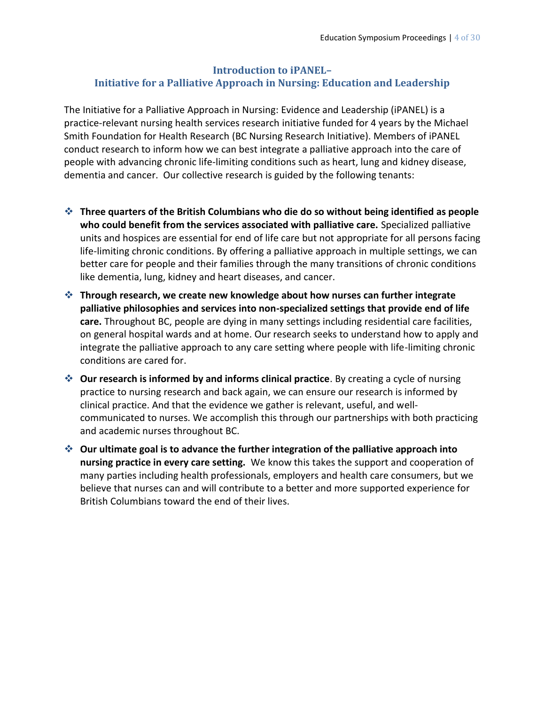#### **Introduction to iPANEL– Initiative for a Palliative Approach in Nursing: Education and Leadership**

The Initiative for a Palliative Approach in Nursing: Evidence and Leadership (iPANEL) is a practice-relevant nursing health services research initiative funded for 4 years by the Michael Smith Foundation for Health Research (BC Nursing Research Initiative). Members of iPANEL conduct research to inform how we can best integrate a palliative approach into the care of people with advancing chronic life-limiting conditions such as heart, lung and kidney disease, dementia and cancer. Our collective research is guided by the following tenants:

- **Three quarters of the British Columbians who die do so without being identified as people who could benefit from the services associated with palliative care.** Specialized palliative units and hospices are essential for end of life care but not appropriate for all persons facing life-limiting chronic conditions. By offering a palliative approach in multiple settings, we can better care for people and their families through the many transitions of chronic conditions like dementia, lung, kidney and heart diseases, and cancer.
- **Through research, we create new knowledge about how nurses can further integrate palliative philosophies and services into non-specialized settings that provide end of life care.** Throughout BC, people are dying in many settings including residential care facilities, on general hospital wards and at home. Our research seeks to understand how to apply and integrate the palliative approach to any care setting where people with life-limiting chronic conditions are cared for.
- **Our research is informed by and informs clinical practice**. By creating a cycle of nursing practice to nursing research and back again, we can ensure our research is informed by clinical practice. And that the evidence we gather is relevant, useful, and wellcommunicated to nurses. We accomplish this through our partnerships with both practicing and academic nurses throughout BC.
- **Our ultimate goal is to advance the further integration of the palliative approach into nursing practice in every care setting.** We know this takes the support and cooperation of many parties including health professionals, employers and health care consumers, but we believe that nurses can and will contribute to a better and more supported experience for British Columbians toward the end of their lives.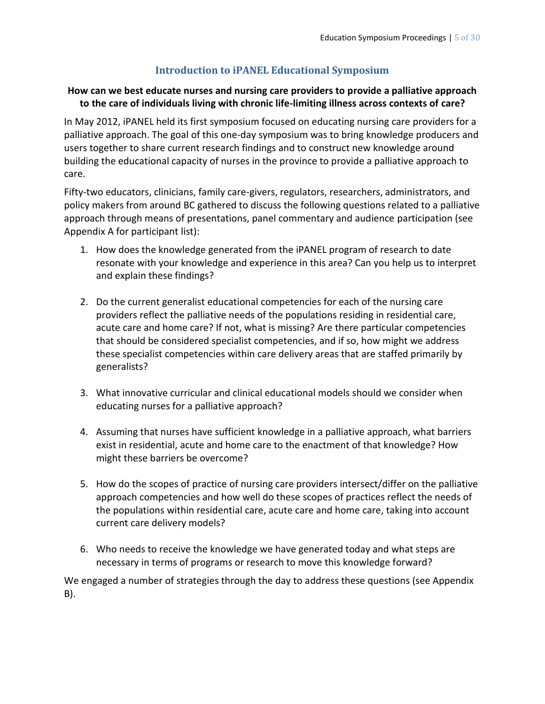## **Introduction to iPANEL Educational Symposium**

#### **How can we best educate nurses and nursing care providers to provide a palliative approach to the care of individuals living with chronic life-limiting illness across contexts of care?**

In May 2012, iPANEL held its first symposium focused on educating nursing care providers for a palliative approach. The goal of this one-day symposium was to bring knowledge producers and users together to share current research findings and to construct new knowledge around building the educational capacity of nurses in the province to provide a palliative approach to care.

Fifty-two educators, clinicians, family care-givers, regulators, researchers, administrators, and policy makers from around BC gathered to discuss the following questions related to a palliative approach through means of presentations, panel commentary and audience participation (see Appendix A for participant list):

- 1. How does the knowledge generated from the iPANEL program of research to date resonate with your knowledge and experience in this area? Can you help us to interpret and explain these findings?
- 2. Do the current generalist educational competencies for each of the nursing care providers reflect the palliative needs of the populations residing in residential care, acute care and home care? If not, what is missing? Are there particular competencies that should be considered specialist competencies, and if so, how might we address these specialist competencies within care delivery areas that are staffed primarily by generalists?
- 3. What innovative curricular and clinical educational models should we consider when educating nurses for a palliative approach?
- 4. Assuming that nurses have sufficient knowledge in a palliative approach, what barriers exist in residential, acute and home care to the enactment of that knowledge? How might these barriers be overcome?
- 5. How do the scopes of practice of nursing care providers intersect/differ on the palliative approach competencies and how well do these scopes of practices reflect the needs of the populations within residential care, acute care and home care, taking into account current care delivery models?
- 6. Who needs to receive the knowledge we have generated today and what steps are necessary in terms of programs or research to move this knowledge forward?

We engaged a number of strategies through the day to address these questions (see Appendix B).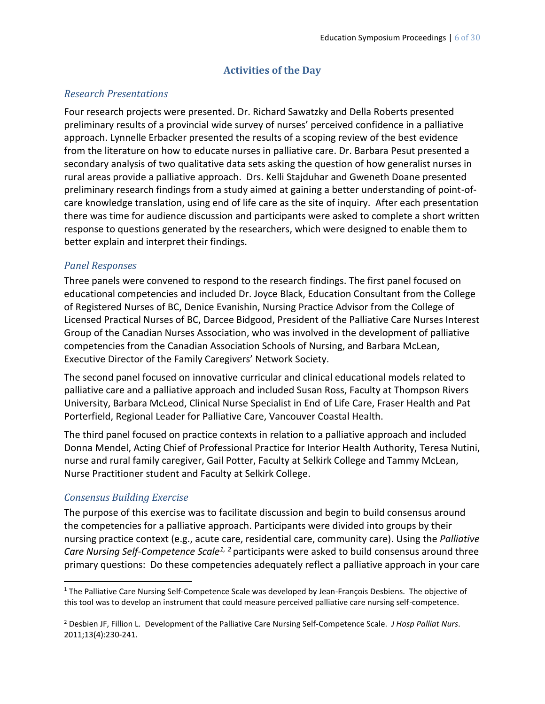## **Activities of the Day**

#### *Research Presentations*

Four research projects were presented. Dr. Richard Sawatzky and Della Roberts presented preliminary results of a provincial wide survey of nurses' perceived confidence in a palliative approach. Lynnelle Erbacker presented the results of a scoping review of the best evidence from the literature on how to educate nurses in palliative care. Dr. Barbara Pesut presented a secondary analysis of two qualitative data sets asking the question of how generalist nurses in rural areas provide a palliative approach. Drs. Kelli Stajduhar and Gweneth Doane presented preliminary research findings from a study aimed at gaining a better understanding of point-ofcare knowledge translation, using end of life care as the site of inquiry. After each presentation there was time for audience discussion and participants were asked to complete a short written response to questions generated by the researchers, which were designed to enable them to better explain and interpret their findings.

#### *Panel Responses*

Three panels were convened to respond to the research findings. The first panel focused on educational competencies and included Dr. Joyce Black, Education Consultant from the College of Registered Nurses of BC, Denice Evanishin, Nursing Practice Advisor from the College of Licensed Practical Nurses of BC, Darcee Bidgood, President of the Palliative Care Nurses Interest Group of the Canadian Nurses Association, who was involved in the development of palliative competencies from the Canadian Association Schools of Nursing, and Barbara McLean, Executive Director of the Family Caregivers' Network Society.

The second panel focused on innovative curricular and clinical educational models related to palliative care and a palliative approach and included Susan Ross, Faculty at Thompson Rivers University, Barbara McLeod, Clinical Nurse Specialist in End of Life Care, Fraser Health and Pat Porterfield, Regional Leader for Palliative Care, Vancouver Coastal Health.

The third panel focused on practice contexts in relation to a palliative approach and included Donna Mendel, Acting Chief of Professional Practice for Interior Health Authority, Teresa Nutini, nurse and rural family caregiver, Gail Potter, Faculty at Selkirk College and Tammy McLean, Nurse Practitioner student and Faculty at Selkirk College.

#### *Consensus Building Exercise*

 $\overline{a}$ 

The purpose of this exercise was to facilitate discussion and begin to build consensus around the competencies for a palliative approach. Participants were divided into groups by their nursing practice context (e.g., acute care, residential care, community care). Using the *Palliative Care Nursing Self-Competence Scale1, <sup>2</sup>* participants were asked to build consensus around three primary questions: Do these competencies adequately reflect a palliative approach in your care

<sup>&</sup>lt;sup>1</sup> The Palliative Care Nursing Self-Competence Scale was developed by Jean-François Desbiens. The objective of this tool was to develop an instrument that could measure perceived palliative care nursing self-competence.

<sup>2</sup> Desbien JF, Fillion L. Development of the Palliative Care Nursing Self-Competence Scale. *J Hosp Palliat Nurs*. 2011;13(4):230-241.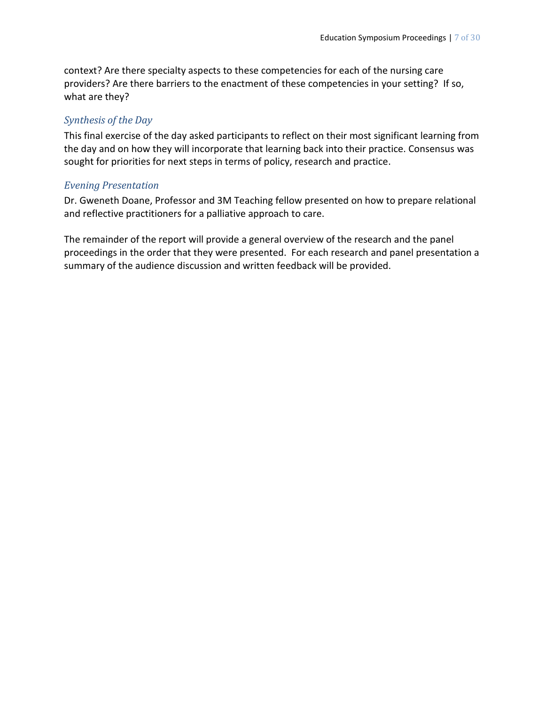context? Are there specialty aspects to these competencies for each of the nursing care providers? Are there barriers to the enactment of these competencies in your setting? If so, what are they?

## *Synthesis of the Day*

This final exercise of the day asked participants to reflect on their most significant learning from the day and on how they will incorporate that learning back into their practice. Consensus was sought for priorities for next steps in terms of policy, research and practice.

## *Evening Presentation*

Dr. Gweneth Doane, Professor and 3M Teaching fellow presented on how to prepare relational and reflective practitioners for a palliative approach to care.

The remainder of the report will provide a general overview of the research and the panel proceedings in the order that they were presented. For each research and panel presentation a summary of the audience discussion and written feedback will be provided.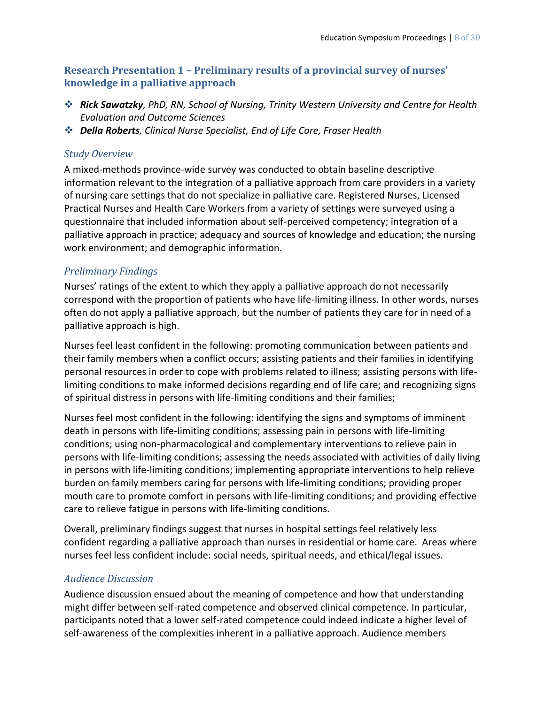## **Research Presentation 1 – Preliminary results of a provincial survey of nurses' knowledge in a palliative approach**

- *Rick Sawatzky, PhD, RN, School of Nursing, Trinity Western University and Centre for Health Evaluation and Outcome Sciences*
- *Della Roberts, Clinical Nurse Specialist, End of Life Care, Fraser Health*

#### *Study Overview*

A mixed-methods province-wide survey was conducted to obtain baseline descriptive information relevant to the integration of a palliative approach from care providers in a variety of nursing care settings that do not specialize in palliative care. Registered Nurses, Licensed Practical Nurses and Health Care Workers from a variety of settings were surveyed using a questionnaire that included information about self-perceived competency; integration of a palliative approach in practice; adequacy and sources of knowledge and education; the nursing work environment; and demographic information.

## *Preliminary Findings*

Nurses' ratings of the extent to which they apply a palliative approach do not necessarily correspond with the proportion of patients who have life-limiting illness. In other words, nurses often do not apply a palliative approach, but the number of patients they care for in need of a palliative approach is high.

Nurses feel least confident in the following: promoting communication between patients and their family members when a conflict occurs; assisting patients and their families in identifying personal resources in order to cope with problems related to illness; assisting persons with lifelimiting conditions to make informed decisions regarding end of life care; and recognizing signs of spiritual distress in persons with life-limiting conditions and their families;

Nurses feel most confident in the following: identifying the signs and symptoms of imminent death in persons with life-limiting conditions; assessing pain in persons with life-limiting conditions; using non-pharmacological and complementary interventions to relieve pain in persons with life-limiting conditions; assessing the needs associated with activities of daily living in persons with life-limiting conditions; implementing appropriate interventions to help relieve burden on family members caring for persons with life-limiting conditions; providing proper mouth care to promote comfort in persons with life-limiting conditions; and providing effective care to relieve fatigue in persons with life-limiting conditions.

Overall, preliminary findings suggest that nurses in hospital settings feel relatively less confident regarding a palliative approach than nurses in residential or home care. Areas where nurses feel less confident include: social needs, spiritual needs, and ethical/legal issues.

## *Audience Discussion*

Audience discussion ensued about the meaning of competence and how that understanding might differ between self-rated competence and observed clinical competence. In particular, participants noted that a lower self-rated competence could indeed indicate a higher level of self-awareness of the complexities inherent in a palliative approach. Audience members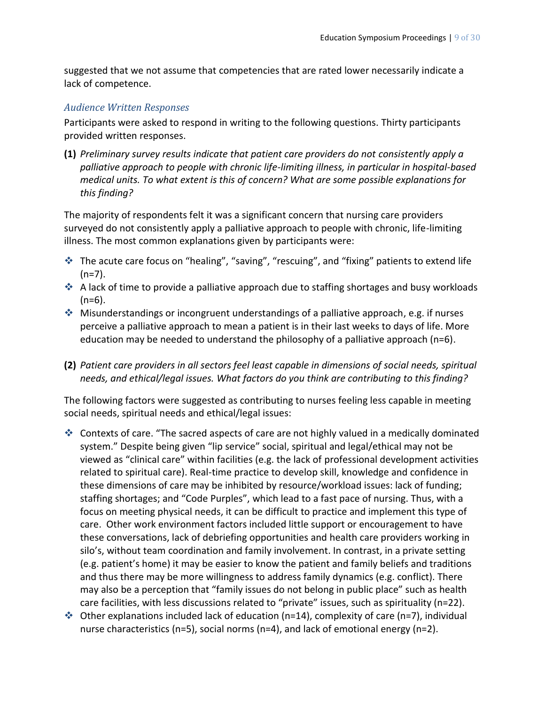suggested that we not assume that competencies that are rated lower necessarily indicate a lack of competence.

#### *Audience Written Responses*

Participants were asked to respond in writing to the following questions. Thirty participants provided written responses.

**(1)** *Preliminary survey results indicate that patient care providers do not consistently apply a palliative approach to people with chronic life-limiting illness, in particular in hospital-based medical units. To what extent is this of concern? What are some possible explanations for this finding?* 

The majority of respondents felt it was a significant concern that nursing care providers surveyed do not consistently apply a palliative approach to people with chronic, life-limiting illness. The most common explanations given by participants were:

- The acute care focus on "healing", "saving", "rescuing", and "fixing" patients to extend life  $(n=7)$ .
- ◆ A lack of time to provide a palliative approach due to staffing shortages and busy workloads  $(n=6)$ .
- Misunderstandings or incongruent understandings of a palliative approach, e.g. if nurses perceive a palliative approach to mean a patient is in their last weeks to days of life. More education may be needed to understand the philosophy of a palliative approach  $(n=6)$ .
- **(2)** *Patient care providers in all sectors feel least capable in dimensions of social needs, spiritual needs, and ethical/legal issues. What factors do you think are contributing to this finding?*

The following factors were suggested as contributing to nurses feeling less capable in meeting social needs, spiritual needs and ethical/legal issues:

- Contexts of care. "The sacred aspects of care are not highly valued in a medically dominated system." Despite being given "lip service" social, spiritual and legal/ethical may not be viewed as "clinical care" within facilities (e.g. the lack of professional development activities related to spiritual care). Real-time practice to develop skill, knowledge and confidence in these dimensions of care may be inhibited by resource/workload issues: lack of funding; staffing shortages; and "Code Purples", which lead to a fast pace of nursing. Thus, with a focus on meeting physical needs, it can be difficult to practice and implement this type of care. Other work environment factors included little support or encouragement to have these conversations, lack of debriefing opportunities and health care providers working in silo's, without team coordination and family involvement. In contrast, in a private setting (e.g. patient's home) it may be easier to know the patient and family beliefs and traditions and thus there may be more willingness to address family dynamics (e.g. conflict). There may also be a perception that "family issues do not belong in public place" such as health care facilities, with less discussions related to "private" issues, such as spirituality (n=22).
- $\cdot$  Other explanations included lack of education (n=14), complexity of care (n=7), individual nurse characteristics (n=5), social norms (n=4), and lack of emotional energy (n=2).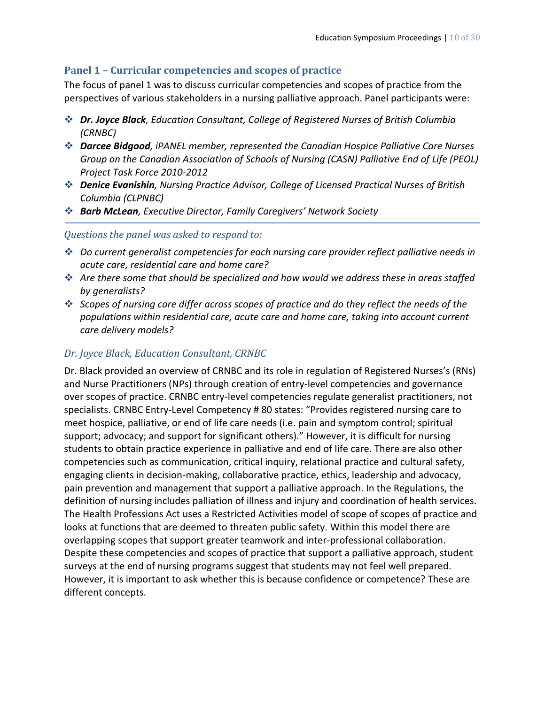#### **Panel 1 – Curricular competencies and scopes of practice**

The focus of panel 1 was to discuss curricular competencies and scopes of practice from the perspectives of various stakeholders in a nursing palliative approach. Panel participants were:

- *Dr. Joyce Black, Education Consultant, College of Registered Nurses of British Columbia (CRNBC)*
- *Darcee Bidgood, iPANEL member, represented the Canadian Hospice Palliative Care Nurses Group on the Canadian Association of Schools of Nursing (CASN) Palliative End of Life (PEOL) Project Task Force 2010-2012*
- *Denice Evanishin, Nursing Practice Advisor, College of Licensed Practical Nurses of British Columbia (CLPNBC)*
- *Barb McLean, Executive Director, Family Caregivers' Network Society*

#### *Questions the panel was asked to respond to:*

- *Do current generalist competencies for each nursing care provider reflect palliative needs in acute care, residential care and home care?*
- *Are there some that should be specialized and how would we address these in areas staffed by generalists?*
- *Scopes of nursing care differ across scopes of practice and do they reflect the needs of the populations within residential care, acute care and home care, taking into account current care delivery models?*

#### *Dr. Joyce Black, Education Consultant, CRNBC*

Dr. Black provided an overview of CRNBC and its role in regulation of Registered Nurses's (RNs) and Nurse Practitioners (NPs) through creation of entry-level competencies and governance over scopes of practice. CRNBC entry-level competencies regulate generalist practitioners, not specialists. CRNBC Entry-Level Competency # 80 states: "Provides registered nursing care to meet hospice, palliative, or end of life care needs (i.e. pain and symptom control; spiritual support; advocacy; and support for significant others)." However, it is difficult for nursing students to obtain practice experience in palliative and end of life care. There are also other competencies such as communication, critical inquiry, relational practice and cultural safety, engaging clients in decision-making, collaborative practice, ethics, leadership and advocacy, pain prevention and management that support a palliative approach. In the Regulations, the definition of nursing includes palliation of illness and injury and coordination of health services. The Health Professions Act uses a Restricted Activities model of scope of scopes of practice and looks at functions that are deemed to threaten public safety. Within this model there are overlapping scopes that support greater teamwork and inter-professional collaboration. Despite these competencies and scopes of practice that support a palliative approach, student surveys at the end of nursing programs suggest that students may not feel well prepared. However, it is important to ask whether this is because confidence or competence? These are different concepts.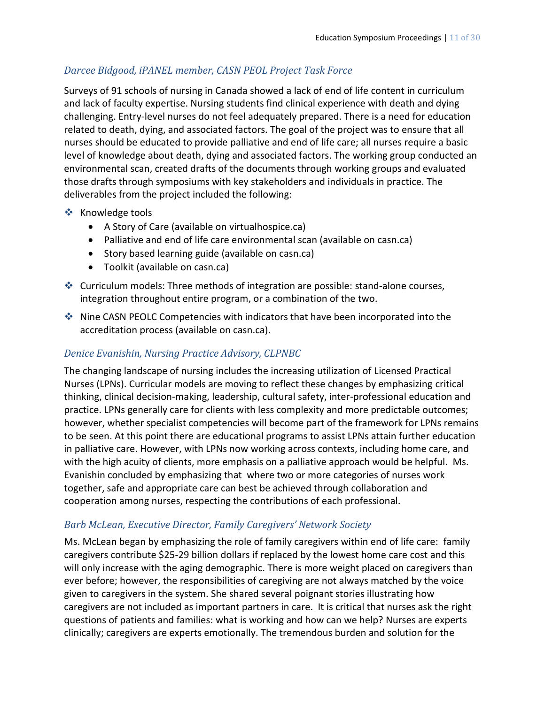## *Darcee Bidgood, iPANEL member, CASN PEOL Project Task Force*

Surveys of 91 schools of nursing in Canada showed a lack of end of life content in curriculum and lack of faculty expertise. Nursing students find clinical experience with death and dying challenging. Entry-level nurses do not feel adequately prepared. There is a need for education related to death, dying, and associated factors. The goal of the project was to ensure that all nurses should be educated to provide palliative and end of life care; all nurses require a basic level of knowledge about death, dying and associated factors. The working group conducted an environmental scan, created drafts of the documents through working groups and evaluated those drafts through symposiums with key stakeholders and individuals in practice. The deliverables from the project included the following:

- ❖ Knowledge tools
	- A Story of Care (available on virtualhospice.ca)
	- Palliative and end of life care environmental scan (available on casn.ca)
	- Story based learning guide (available on casn.ca)
	- Toolkit (available on casn.ca)
- Curriculum models: Three methods of integration are possible: stand-alone courses, integration throughout entire program, or a combination of the two.
- Nine CASN PEOLC Competencies with indicators that have been incorporated into the accreditation process [\(available](http://www.casn.ca/en/Palliative_Care_122/items%20/4.html) on casn.ca).

## *Denice Evanishin, Nursing Practice Advisory, CLPNBC*

The changing landscape of nursing includes the increasing utilization of Licensed Practical Nurses (LPNs). Curricular models are moving to reflect these changes by emphasizing critical thinking, clinical decision-making, leadership, cultural safety, inter-professional education and practice. LPNs generally care for clients with less complexity and more predictable outcomes; however, whether specialist competencies will become part of the framework for LPNs remains to be seen. At this point there are educational programs to assist LPNs attain further education in palliative care. However, with LPNs now working across contexts, including home care, and with the high acuity of clients, more emphasis on a palliative approach would be helpful. Ms. Evanishin concluded by emphasizing that where two or more categories of nurses work together, safe and appropriate care can best be achieved through collaboration and cooperation among nurses, respecting the contributions of each professional.

## *Barb McLean, Executive Director, Family Caregivers' Network Society*

Ms. McLean began by emphasizing the role of family caregivers within end of life care: family caregivers contribute \$25-29 billion dollars if replaced by the lowest home care cost and this will only increase with the aging demographic. There is more weight placed on caregivers than ever before; however, the responsibilities of caregiving are not always matched by the voice given to caregivers in the system. She shared several poignant stories illustrating how caregivers are not included as important partners in care. It is critical that nurses ask the right questions of patients and families: what is working and how can we help? Nurses are experts clinically; caregivers are experts emotionally. The tremendous burden and solution for the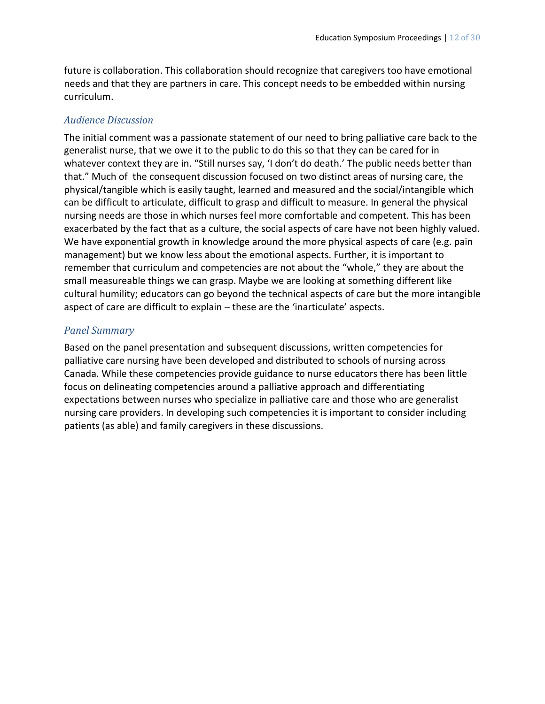future is collaboration. This collaboration should recognize that caregivers too have emotional needs and that they are partners in care. This concept needs to be embedded within nursing curriculum.

#### *Audience Discussion*

The initial comment was a passionate statement of our need to bring palliative care back to the generalist nurse, that we owe it to the public to do this so that they can be cared for in whatever context they are in. "Still nurses say, 'I don't do death.' The public needs better than that." Much of the consequent discussion focused on two distinct areas of nursing care, the physical/tangible which is easily taught, learned and measured and the social/intangible which can be difficult to articulate, difficult to grasp and difficult to measure. In general the physical nursing needs are those in which nurses feel more comfortable and competent. This has been exacerbated by the fact that as a culture, the social aspects of care have not been highly valued. We have exponential growth in knowledge around the more physical aspects of care (e.g. pain management) but we know less about the emotional aspects. Further, it is important to remember that curriculum and competencies are not about the "whole," they are about the small measureable things we can grasp. Maybe we are looking at something different like cultural humility; educators can go beyond the technical aspects of care but the more intangible aspect of care are difficult to explain – these are the 'inarticulate' aspects.

#### *Panel Summary*

Based on the panel presentation and subsequent discussions, written competencies for palliative care nursing have been developed and distributed to schools of nursing across Canada. While these competencies provide guidance to nurse educators there has been little focus on delineating competencies around a palliative approach and differentiating expectations between nurses who specialize in palliative care and those who are generalist nursing care providers. In developing such competencies it is important to consider including patients (as able) and family caregivers in these discussions.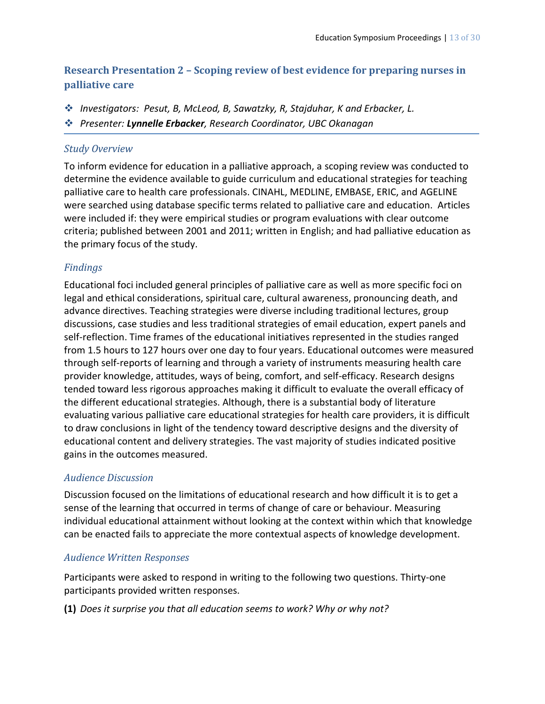## **Research Presentation 2 – Scoping review of best evidence for preparing nurses in palliative care**

- *Investigators: Pesut, B, McLeod, B, Sawatzky, R, Stajduhar, K and Erbacker, L.*
- *Presenter: Lynnelle Erbacker, Research Coordinator, UBC Okanagan*

#### *Study Overview*

To inform evidence for education in a palliative approach, a scoping review was conducted to determine the evidence available to guide curriculum and educational strategies for teaching palliative care to health care professionals. CINAHL, MEDLINE, EMBASE, ERIC, and AGELINE were searched using database specific terms related to palliative care and education. Articles were included if: they were empirical studies or program evaluations with clear outcome criteria; published between 2001 and 2011; written in English; and had palliative education as the primary focus of the study.

## *Findings*

Educational foci included general principles of palliative care as well as more specific foci on legal and ethical considerations, spiritual care, cultural awareness, pronouncing death, and advance directives. Teaching strategies were diverse including traditional lectures, group discussions, case studies and less traditional strategies of email education, expert panels and self-reflection. Time frames of the educational initiatives represented in the studies ranged from 1.5 hours to 127 hours over one day to four years. Educational outcomes were measured through self-reports of learning and through a variety of instruments measuring health care provider knowledge, attitudes, ways of being, comfort, and self-efficacy. Research designs tended toward less rigorous approaches making it difficult to evaluate the overall efficacy of the different educational strategies. Although, there is a substantial body of literature evaluating various palliative care educational strategies for health care providers, it is difficult to draw conclusions in light of the tendency toward descriptive designs and the diversity of educational content and delivery strategies. The vast majority of studies indicated positive gains in the outcomes measured.

## *Audience Discussion*

Discussion focused on the limitations of educational research and how difficult it is to get a sense of the learning that occurred in terms of change of care or behaviour. Measuring individual educational attainment without looking at the context within which that knowledge can be enacted fails to appreciate the more contextual aspects of knowledge development.

## *Audience Written Responses*

Participants were asked to respond in writing to the following two questions. Thirty-one participants provided written responses.

**(1)** *Does it surprise you that all education seems to work? Why or why not?*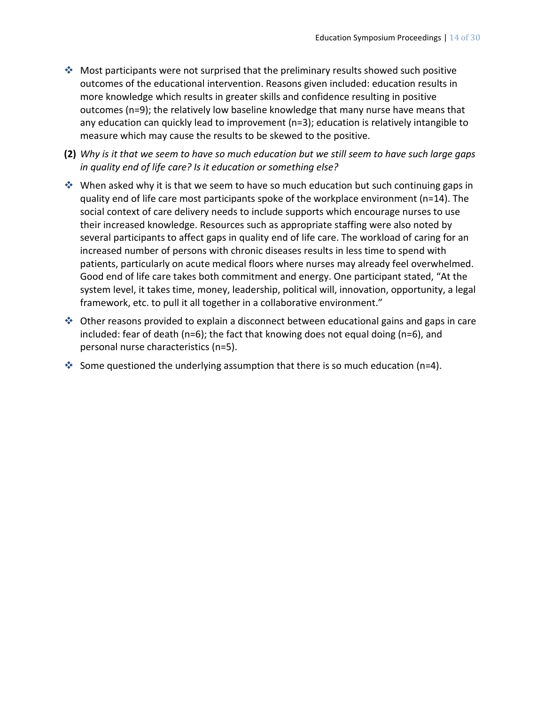- Most participants were not surprised that the preliminary results showed such positive outcomes of the educational intervention. Reasons given included: education results in more knowledge which results in greater skills and confidence resulting in positive outcomes (n=9); the relatively low baseline knowledge that many nurse have means that any education can quickly lead to improvement (n=3); education is relatively intangible to measure which may cause the results to be skewed to the positive.
- **(2)** *Why is it that we seem to have so much education but we still seem to have such large gaps in quality end of life care? Is it education or something else?*
- ◆ When asked why it is that we seem to have so much education but such continuing gaps in quality end of life care most participants spoke of the workplace environment (n=14). The social context of care delivery needs to include supports which encourage nurses to use their increased knowledge. Resources such as appropriate staffing were also noted by several participants to affect gaps in quality end of life care. The workload of caring for an increased number of persons with chronic diseases results in less time to spend with patients, particularly on acute medical floors where nurses may already feel overwhelmed. Good end of life care takes both commitment and energy. One participant stated, "At the system level, it takes time, money, leadership, political will, innovation, opportunity, a legal framework, etc. to pull it all together in a collaborative environment."
- Other reasons provided to explain a disconnect between educational gains and gaps in care included: fear of death (n=6); the fact that knowing does not equal doing (n=6), and personal nurse characteristics (n=5).
- Some questioned the underlying assumption that there is so much education (n=4).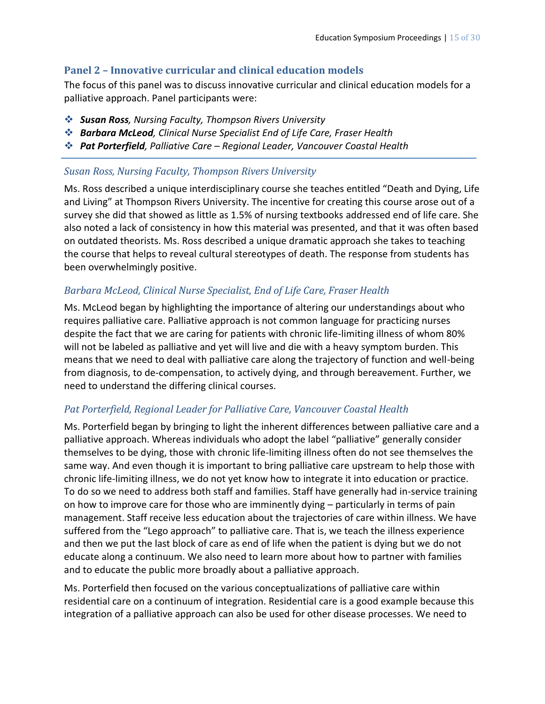#### **Panel 2 – Innovative curricular and clinical education models**

The focus of this panel was to discuss innovative curricular and clinical education models for a palliative approach. Panel participants were:

- *Susan Ross, Nursing Faculty, Thompson Rivers University*
- *Barbara McLeod, Clinical Nurse Specialist End of Life Care, Fraser Health*
- *Pat Porterfield, Palliative Care – Regional Leader, Vancouver Coastal Health*

#### *Susan Ross, Nursing Faculty, Thompson Rivers University*

Ms. Ross described a unique interdisciplinary course she teaches entitled "Death and Dying, Life and Living" at Thompson Rivers University. The incentive for creating this course arose out of a survey she did that showed as little as 1.5% of nursing textbooks addressed end of life care. She also noted a lack of consistency in how this material was presented, and that it was often based on outdated theorists. Ms. Ross described a unique dramatic approach she takes to teaching the course that helps to reveal cultural stereotypes of death. The response from students has been overwhelmingly positive.

## *Barbara McLeod, Clinical Nurse Specialist, End of Life Care, Fraser Health*

Ms. McLeod began by highlighting the importance of altering our understandings about who requires palliative care. Palliative approach is not common language for practicing nurses despite the fact that we are caring for patients with chronic life-limiting illness of whom 80% will not be labeled as palliative and yet will live and die with a heavy symptom burden. This means that we need to deal with palliative care along the trajectory of function and well-being from diagnosis, to de-compensation, to actively dying, and through bereavement. Further, we need to understand the differing clinical courses.

#### *Pat Porterfield, Regional Leader for Palliative Care, Vancouver Coastal Health*

Ms. Porterfield began by bringing to light the inherent differences between palliative care and a palliative approach. Whereas individuals who adopt the label "palliative" generally consider themselves to be dying, those with chronic life-limiting illness often do not see themselves the same way. And even though it is important to bring palliative care upstream to help those with chronic life-limiting illness, we do not yet know how to integrate it into education or practice. To do so we need to address both staff and families. Staff have generally had in-service training on how to improve care for those who are imminently dying – particularly in terms of pain management. Staff receive less education about the trajectories of care within illness. We have suffered from the "Lego approach" to palliative care. That is, we teach the illness experience and then we put the last block of care as end of life when the patient is dying but we do not educate along a continuum. We also need to learn more about how to partner with families and to educate the public more broadly about a palliative approach.

Ms. Porterfield then focused on the various conceptualizations of palliative care within residential care on a continuum of integration. Residential care is a good example because this integration of a palliative approach can also be used for other disease processes. We need to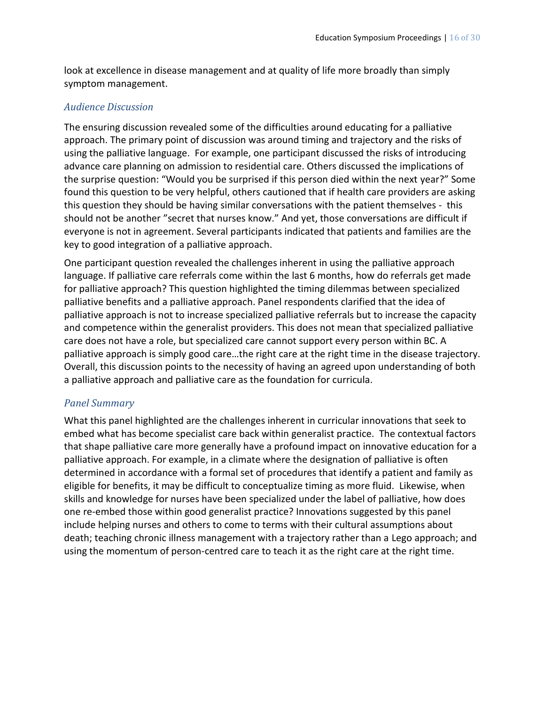look at excellence in disease management and at quality of life more broadly than simply symptom management.

#### *Audience Discussion*

The ensuring discussion revealed some of the difficulties around educating for a palliative approach. The primary point of discussion was around timing and trajectory and the risks of using the palliative language. For example, one participant discussed the risks of introducing advance care planning on admission to residential care. Others discussed the implications of the surprise question: "Would you be surprised if this person died within the next year?" Some found this question to be very helpful, others cautioned that if health care providers are asking this question they should be having similar conversations with the patient themselves - this should not be another "secret that nurses know." And yet, those conversations are difficult if everyone is not in agreement. Several participants indicated that patients and families are the key to good integration of a palliative approach.

One participant question revealed the challenges inherent in using the palliative approach language. If palliative care referrals come within the last 6 months, how do referrals get made for palliative approach? This question highlighted the timing dilemmas between specialized palliative benefits and a palliative approach. Panel respondents clarified that the idea of palliative approach is not to increase specialized palliative referrals but to increase the capacity and competence within the generalist providers. This does not mean that specialized palliative care does not have a role, but specialized care cannot support every person within BC. A palliative approach is simply good care…the right care at the right time in the disease trajectory. Overall, this discussion points to the necessity of having an agreed upon understanding of both a palliative approach and palliative care as the foundation for curricula.

#### *Panel Summary*

What this panel highlighted are the challenges inherent in curricular innovations that seek to embed what has become specialist care back within generalist practice. The contextual factors that shape palliative care more generally have a profound impact on innovative education for a palliative approach. For example, in a climate where the designation of palliative is often determined in accordance with a formal set of procedures that identify a patient and family as eligible for benefits, it may be difficult to conceptualize timing as more fluid. Likewise, when skills and knowledge for nurses have been specialized under the label of palliative, how does one re-embed those within good generalist practice? Innovations suggested by this panel include helping nurses and others to come to terms with their cultural assumptions about death; teaching chronic illness management with a trajectory rather than a Lego approach; and using the momentum of person-centred care to teach it as the right care at the right time.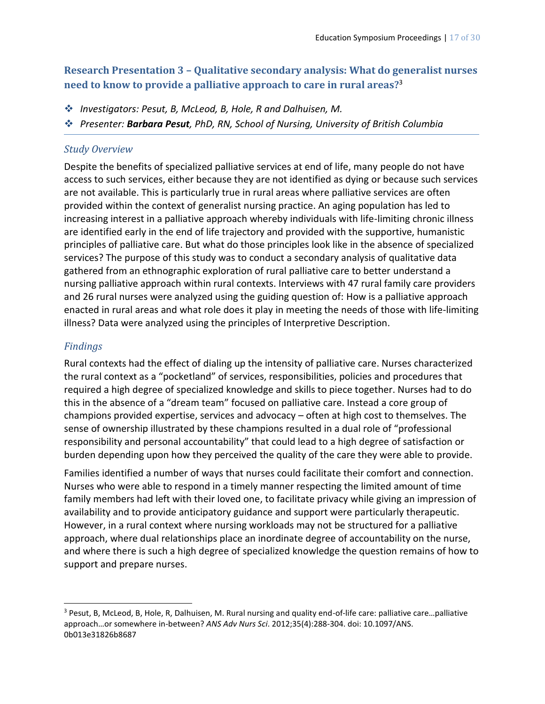## **Research Presentation 3 – Qualitative secondary analysis: What do generalist nurses need to know to provide a palliative approach to care in rural areas?**<sup>3</sup>

- *Investigators: Pesut, B, McLeod, B, Hole, R and Dalhuisen, M.*
- *Presenter: Barbara Pesut, PhD, RN, School of Nursing, University of British Columbia*

#### *Study Overview*

Despite the benefits of specialized palliative services at end of life, many people do not have access to such services, either because they are not identified as dying or because such services are not available. This is particularly true in rural areas where palliative services are often provided within the context of generalist nursing practice. An aging population has led to increasing interest in a palliative approach whereby individuals with life-limiting chronic illness are identified early in the end of life trajectory and provided with the supportive, humanistic principles of palliative care. But what do those principles look like in the absence of specialized services? The purpose of this study was to conduct a secondary analysis of qualitative data gathered from an ethnographic exploration of rural palliative care to better understand a nursing palliative approach within rural contexts. Interviews with 47 rural family care providers and 26 rural nurses were analyzed using the guiding question of: How is a palliative approach enacted in rural areas and what role does it play in meeting the needs of those with life-limiting illness? Data were analyzed using the principles of Interpretive Description.

## *Findings*

 $\overline{a}$ 

Rural contexts had the effect of dialing up the intensity of palliative care. Nurses characterized the rural context as a "pocketland" of services, responsibilities, policies and procedures that required a high degree of specialized knowledge and skills to piece together. Nurses had to do this in the absence of a "dream team" focused on palliative care. Instead a core group of champions provided expertise, services and advocacy – often at high cost to themselves. The sense of ownership illustrated by these champions resulted in a dual role of "professional responsibility and personal accountability" that could lead to a high degree of satisfaction or burden depending upon how they perceived the quality of the care they were able to provide.

Families identified a number of ways that nurses could facilitate their comfort and connection. Nurses who were able to respond in a timely manner respecting the limited amount of time family members had left with their loved one, to facilitate privacy while giving an impression of availability and to provide anticipatory guidance and support were particularly therapeutic. However, in a rural context where nursing workloads may not be structured for a palliative approach, where dual relationships place an inordinate degree of accountability on the nurse, and where there is such a high degree of specialized knowledge the question remains of how to support and prepare nurses.

<sup>3</sup> Pesut, B, McLeod, B, Hole, R, Dalhuisen, M. Rural nursing and quality end-of-life care: palliative care…palliative approach…or somewhere in-between? *ANS Adv Nurs Sci*. 2012;35(4):288-304. doi: 10.1097/ANS. 0b013e31826b8687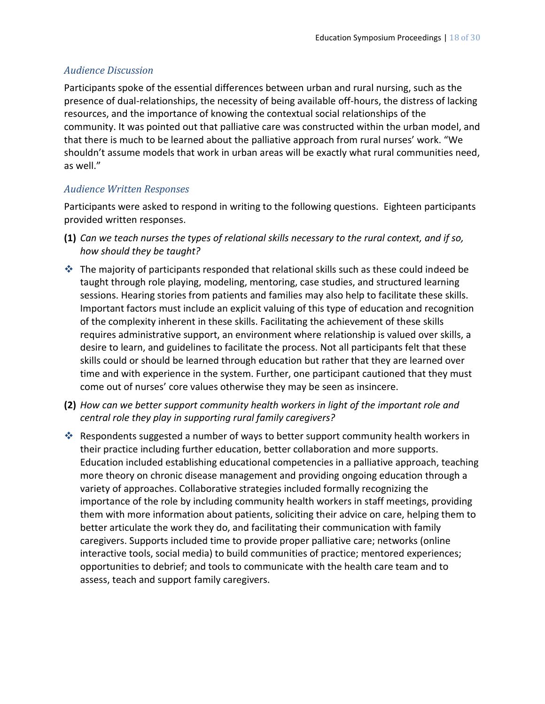#### *Audience Discussion*

Participants spoke of the essential differences between urban and rural nursing, such as the presence of dual-relationships, the necessity of being available off-hours, the distress of lacking resources, and the importance of knowing the contextual social relationships of the community. It was pointed out that palliative care was constructed within the urban model, and that there is much to be learned about the palliative approach from rural nurses' work. "We shouldn't assume models that work in urban areas will be exactly what rural communities need, as well."

#### *Audience Written Responses*

Participants were asked to respond in writing to the following questions. Eighteen participants provided written responses.

- **(1)** *Can we teach nurses the types of relational skills necessary to the rural context, and if so, how should they be taught?*
- $\cdot$  The majority of participants responded that relational skills such as these could indeed be taught through role playing, modeling, mentoring, case studies, and structured learning sessions. Hearing stories from patients and families may also help to facilitate these skills. Important factors must include an explicit valuing of this type of education and recognition of the complexity inherent in these skills. Facilitating the achievement of these skills requires administrative support, an environment where relationship is valued over skills, a desire to learn, and guidelines to facilitate the process. Not all participants felt that these skills could or should be learned through education but rather that they are learned over time and with experience in the system. Further, one participant cautioned that they must come out of nurses' core values otherwise they may be seen as insincere.
- **(2)** *How can we better support community health workers in light of the important role and central role they play in supporting rural family caregivers?*
- Respondents suggested a number of ways to better support community health workers in their practice including further education, better collaboration and more supports. Education included establishing educational competencies in a palliative approach, teaching more theory on chronic disease management and providing ongoing education through a variety of approaches. Collaborative strategies included formally recognizing the importance of the role by including community health workers in staff meetings, providing them with more information about patients, soliciting their advice on care, helping them to better articulate the work they do, and facilitating their communication with family caregivers. Supports included time to provide proper palliative care; networks (online interactive tools, social media) to build communities of practice; mentored experiences; opportunities to debrief; and tools to communicate with the health care team and to assess, teach and support family caregivers.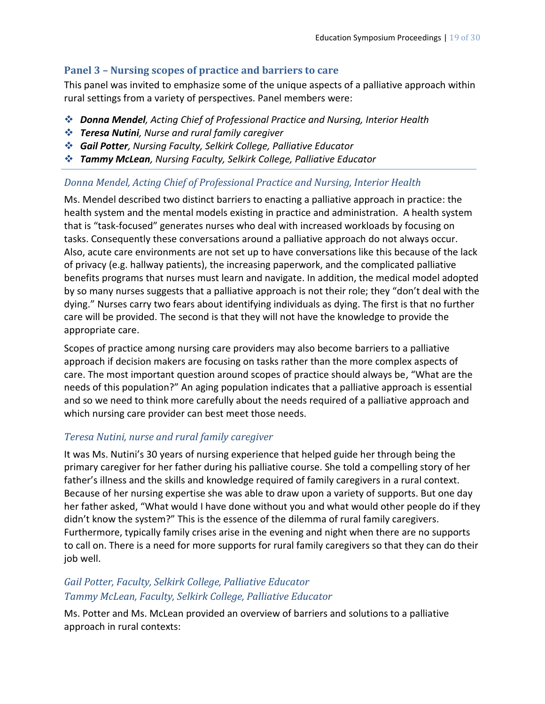#### **Panel 3 – Nursing scopes of practice and barriers to care**

This panel was invited to emphasize some of the unique aspects of a palliative approach within rural settings from a variety of perspectives. Panel members were:

- *Donna Mendel, Acting Chief of Professional Practice and Nursing, Interior Health*
- *Teresa Nutini, Nurse and rural family caregiver*
- *Gail Potter, Nursing Faculty, Selkirk College, Palliative Educator*
- *Tammy McLean, Nursing Faculty, Selkirk College, Palliative Educator*

#### *Donna Mendel, Acting Chief of Professional Practice and Nursing, Interior Health*

Ms. Mendel described two distinct barriers to enacting a palliative approach in practice: the health system and the mental models existing in practice and administration. A health system that is "task-focused" generates nurses who deal with increased workloads by focusing on tasks. Consequently these conversations around a palliative approach do not always occur. Also, acute care environments are not set up to have conversations like this because of the lack of privacy (e.g. hallway patients), the increasing paperwork, and the complicated palliative benefits programs that nurses must learn and navigate. In addition, the medical model adopted by so many nurses suggests that a palliative approach is not their role; they "don't deal with the dying." Nurses carry two fears about identifying individuals as dying. The first is that no further care will be provided. The second is that they will not have the knowledge to provide the appropriate care.

Scopes of practice among nursing care providers may also become barriers to a palliative approach if decision makers are focusing on tasks rather than the more complex aspects of care. The most important question around scopes of practice should always be, "What are the needs of this population?" An aging population indicates that a palliative approach is essential and so we need to think more carefully about the needs required of a palliative approach and which nursing care provider can best meet those needs.

#### *Teresa Nutini, nurse and rural family caregiver*

It was Ms. Nutini's 30 years of nursing experience that helped guide her through being the primary caregiver for her father during his palliative course. She told a compelling story of her father's illness and the skills and knowledge required of family caregivers in a rural context. Because of her nursing expertise she was able to draw upon a variety of supports. But one day her father asked, "What would I have done without you and what would other people do if they didn't know the system?" This is the essence of the dilemma of rural family caregivers. Furthermore, typically family crises arise in the evening and night when there are no supports to call on. There is a need for more supports for rural family caregivers so that they can do their job well.

## *Gail Potter, Faculty, Selkirk College, Palliative Educator Tammy McLean, Faculty, Selkirk College, Palliative Educator*

Ms. Potter and Ms. McLean provided an overview of barriers and solutions to a palliative approach in rural contexts: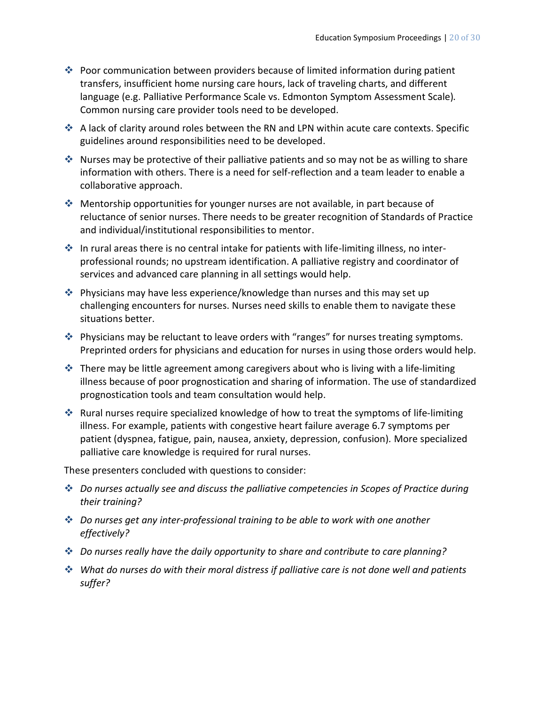- Poor communication between providers because of limited information during patient transfers, insufficient home nursing care hours, lack of traveling charts, and different language (e.g. Palliative Performance Scale vs. Edmonton Symptom Assessment Scale)*.*  Common nursing care provider tools need to be developed.
- A lack of clarity around roles between the RN and LPN within acute care contexts. Specific guidelines around responsibilities need to be developed.
- $\cdot$  Nurses may be protective of their palliative patients and so may not be as willing to share information with others. There is a need for self-reflection and a team leader to enable a collaborative approach.
- Mentorship opportunities for younger nurses are not available, in part because of reluctance of senior nurses. There needs to be greater recognition of Standards of Practice and individual/institutional responsibilities to mentor.
- In rural areas there is no central intake for patients with life-limiting illness, no interprofessional rounds; no upstream identification. A palliative registry and coordinator of services and advanced care planning in all settings would help.
- Physicians may have less experience/knowledge than nurses and this may set up challenging encounters for nurses. Nurses need skills to enable them to navigate these situations better.
- Physicians may be reluctant to leave orders with "ranges" for nurses treating symptoms. Preprinted orders for physicians and education for nurses in using those orders would help.
- $\cdot$  There may be little agreement among caregivers about who is living with a life-limiting illness because of poor prognostication and sharing of information. The use of standardized prognostication tools and team consultation would help.
- Rural nurses require specialized knowledge of how to treat the symptoms of life-limiting illness. For example, patients with congestive heart failure average 6.7 symptoms per patient (dyspnea, fatigue, pain, nausea, anxiety, depression, confusion)*.* More specialized palliative care knowledge is required for rural nurses.

These presenters concluded with questions to consider:

- *Do nurses actually see and discuss the palliative competencies in Scopes of Practice during their training?*
- *Do nurses get any inter-professional training to be able to work with one another effectively?*
- *Do nurses really have the daily opportunity to share and contribute to care planning?*
- *What do nurses do with their moral distress if palliative care is not done well and patients suffer?*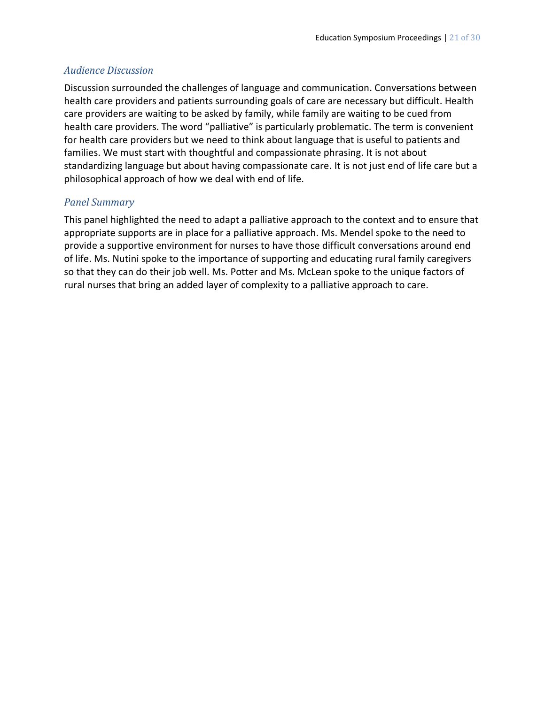#### *Audience Discussion*

Discussion surrounded the challenges of language and communication. Conversations between health care providers and patients surrounding goals of care are necessary but difficult. Health care providers are waiting to be asked by family, while family are waiting to be cued from health care providers. The word "palliative" is particularly problematic. The term is convenient for health care providers but we need to think about language that is useful to patients and families. We must start with thoughtful and compassionate phrasing. It is not about standardizing language but about having compassionate care. It is not just end of life care but a philosophical approach of how we deal with end of life.

#### *Panel Summary*

This panel highlighted the need to adapt a palliative approach to the context and to ensure that appropriate supports are in place for a palliative approach. Ms. Mendel spoke to the need to provide a supportive environment for nurses to have those difficult conversations around end of life. Ms. Nutini spoke to the importance of supporting and educating rural family caregivers so that they can do their job well. Ms. Potter and Ms. McLean spoke to the unique factors of rural nurses that bring an added layer of complexity to a palliative approach to care.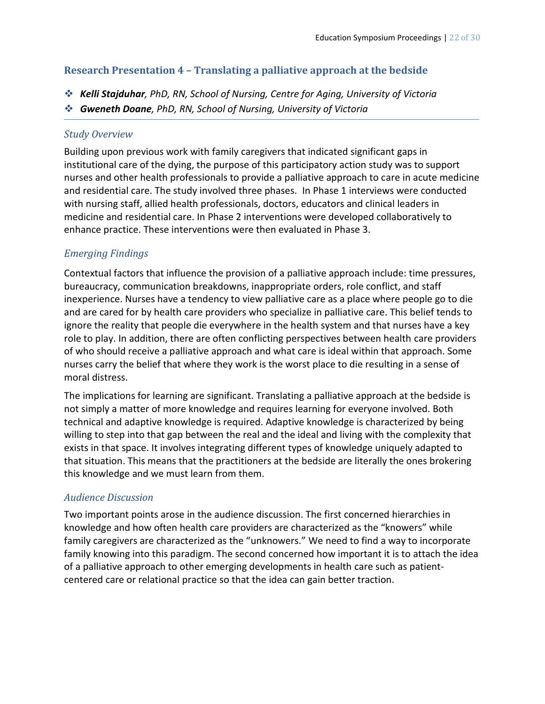#### **Research Presentation 4 – Translating a palliative approach at the bedside**

- *Kelli Stajduhar, PhD, RN, School of Nursing, Centre for Aging, University of Victoria*
- *Gweneth Doane, PhD, RN, School of Nursing, University of Victoria*

#### *Study Overview*

Building upon previous work with family caregivers that indicated significant gaps in institutional care of the dying, the purpose of this participatory action study was to support nurses and other health professionals to provide a palliative approach to care in acute medicine and residential care. The study involved three phases. In Phase 1 interviews were conducted with nursing staff, allied health professionals, doctors, educators and clinical leaders in medicine and residential care. In Phase 2 interventions were developed collaboratively to enhance practice. These interventions were then evaluated in Phase 3.

## *Emerging Findings*

Contextual factors that influence the provision of a palliative approach include: time pressures, bureaucracy, communication breakdowns, inappropriate orders, role conflict, and staff inexperience. Nurses have a tendency to view palliative care as a place where people go to die and are cared for by health care providers who specialize in palliative care. This belief tends to ignore the reality that people die everywhere in the health system and that nurses have a key role to play. In addition, there are often conflicting perspectives between health care providers of who should receive a palliative approach and what care is ideal within that approach. Some nurses carry the belief that where they work is the worst place to die resulting in a sense of moral distress.

The implications for learning are significant. Translating a palliative approach at the bedside is not simply a matter of more knowledge and requires learning for everyone involved. Both technical and adaptive knowledge is required. Adaptive knowledge is characterized by being willing to step into that gap between the real and the ideal and living with the complexity that exists in that space. It involves integrating different types of knowledge uniquely adapted to that situation. This means that the practitioners at the bedside are literally the ones brokering this knowledge and we must learn from them.

## *Audience Discussion*

Two important points arose in the audience discussion. The first concerned hierarchies in knowledge and how often health care providers are characterized as the "knowers" while family caregivers are characterized as the "unknowers." We need to find a way to incorporate family knowing into this paradigm. The second concerned how important it is to attach the idea of a palliative approach to other emerging developments in health care such as patientcentered care or relational practice so that the idea can gain better traction.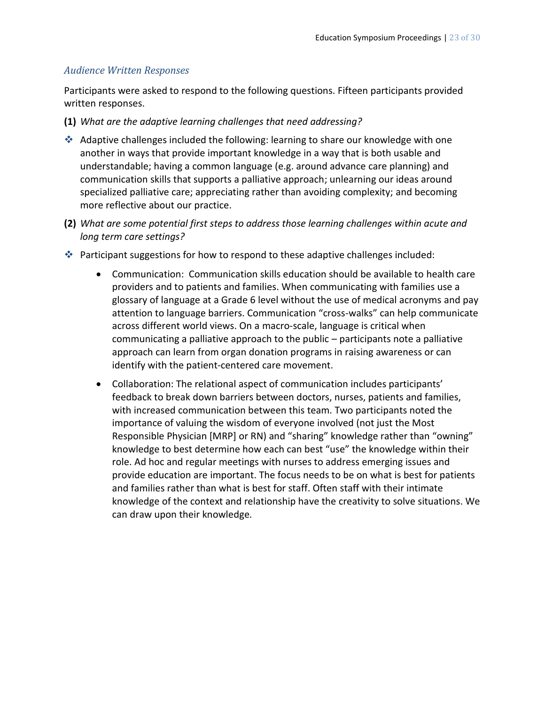#### *Audience Written Responses*

Participants were asked to respond to the following questions. Fifteen participants provided written responses.

- **(1)** *What are the adaptive learning challenges that need addressing?*
- Adaptive challenges included the following: learning to share our knowledge with one another in ways that provide important knowledge in a way that is both usable and understandable; having a common language (e.g. around advance care planning) and communication skills that supports a palliative approach; unlearning our ideas around specialized palliative care; appreciating rather than avoiding complexity; and becoming more reflective about our practice.
- **(2)** *What are some potential first steps to address those learning challenges within acute and long term care settings?*
- **Participant suggestions for how to respond to these adaptive challenges included:** 
	- Communication: Communication skills education should be available to health care providers and to patients and families. When communicating with families use a glossary of language at a Grade 6 level without the use of medical acronyms and pay attention to language barriers. Communication "cross-walks" can help communicate across different world views. On a macro-scale, language is critical when communicating a palliative approach to the public – participants note a palliative approach can learn from organ donation programs in raising awareness or can identify with the patient-centered care movement.
	- Collaboration: The relational aspect of communication includes participants' feedback to break down barriers between doctors, nurses, patients and families, with increased communication between this team. Two participants noted the importance of valuing the wisdom of everyone involved (not just the Most Responsible Physician [MRP] or RN) and "sharing" knowledge rather than "owning" knowledge to best determine how each can best "use" the knowledge within their role. Ad hoc and regular meetings with nurses to address emerging issues and provide education are important. The focus needs to be on what is best for patients and families rather than what is best for staff. Often staff with their intimate knowledge of the context and relationship have the creativity to solve situations. We can draw upon their knowledge*.*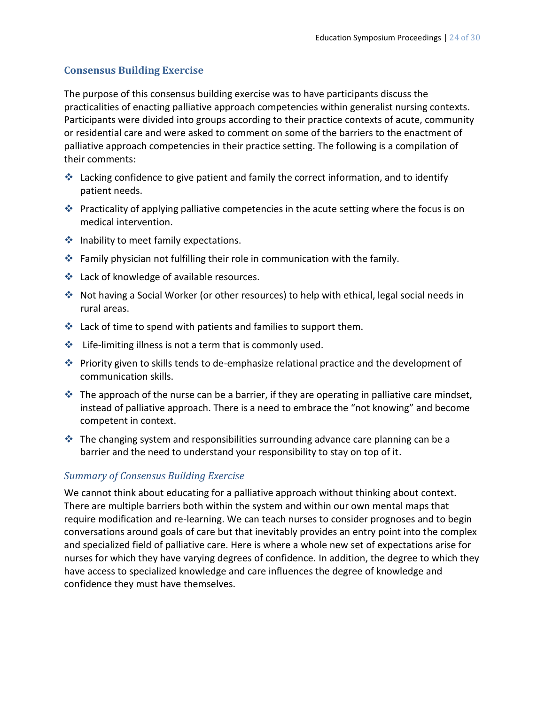#### **Consensus Building Exercise**

The purpose of this consensus building exercise was to have participants discuss the practicalities of enacting palliative approach competencies within generalist nursing contexts. Participants were divided into groups according to their practice contexts of acute, community or residential care and were asked to comment on some of the barriers to the enactment of palliative approach competencies in their practice setting. The following is a compilation of their comments:

- lacking confidence to give patient and family the correct information, and to identify patient needs.
- **Practicality of applying palliative competencies in the acute setting where the focus is on** medical intervention.
- $\triangleq$  Inability to meet family expectations.
- Family physician not fulfilling their role in communication with the family.
- **❖** Lack of knowledge of available resources.
- Not having a Social Worker (or other resources) to help with ethical, legal social needs in rural areas.
- $\cdot$  Lack of time to spend with patients and families to support them.
- $\clubsuit$  Life-limiting illness is not a term that is commonly used.
- Priority given to skills tends to de-emphasize relational practice and the development of communication skills.
- $\cdot$  The approach of the nurse can be a barrier, if they are operating in palliative care mindset, instead of palliative approach. There is a need to embrace the "not knowing" and become competent in context.
- $\cdot$  The changing system and responsibilities surrounding advance care planning can be a barrier and the need to understand your responsibility to stay on top of it.

#### *Summary of Consensus Building Exercise*

We cannot think about educating for a palliative approach without thinking about context. There are multiple barriers both within the system and within our own mental maps that require modification and re-learning. We can teach nurses to consider prognoses and to begin conversations around goals of care but that inevitably provides an entry point into the complex and specialized field of palliative care. Here is where a whole new set of expectations arise for nurses for which they have varying degrees of confidence. In addition, the degree to which they have access to specialized knowledge and care influences the degree of knowledge and confidence they must have themselves.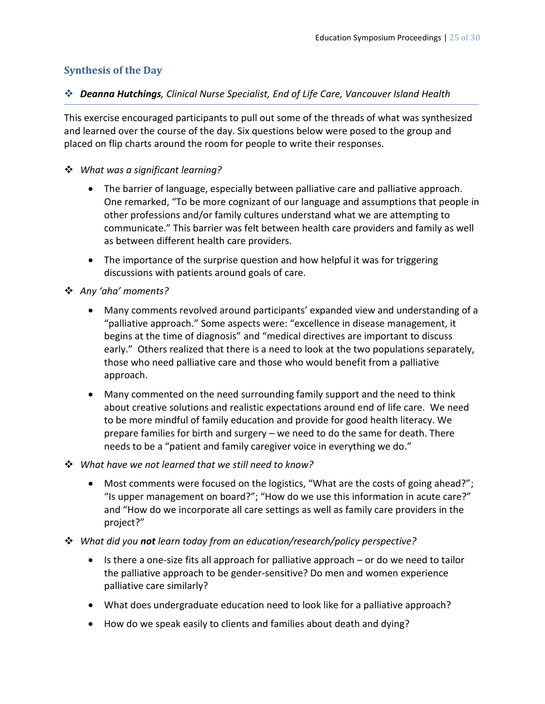#### **Synthesis of the Day**

#### *Deanna Hutchings, Clinical Nurse Specialist, End of Life Care, Vancouver Island Health*

This exercise encouraged participants to pull out some of the threads of what was synthesized and learned over the course of the day. Six questions below were posed to the group and placed on flip charts around the room for people to write their responses.

#### *What was a significant learning?*

- The barrier of language, especially between palliative care and palliative approach. One remarked, "To be more cognizant of our language and assumptions that people in other professions and/or family cultures understand what we are attempting to communicate." This barrier was felt between health care providers and family as well as between different health care providers.
- The importance of the surprise question and how helpful it was for triggering discussions with patients around goals of care.
- *Any 'aha' moments?*
	- Many comments revolved around participants' expanded view and understanding of a "palliative approach." Some aspects were: "excellence in disease management, it begins at the time of diagnosis" and "medical directives are important to discuss early." Others realized that there is a need to look at the two populations separately, those who need palliative care and those who would benefit from a palliative approach.
	- Many commented on the need surrounding family support and the need to think about creative solutions and realistic expectations around end of life care. We need to be more mindful of family education and provide for good health literacy. We prepare families for birth and surgery – we need to do the same for death. There needs to be a "patient and family caregiver voice in everything we do."
- *What have we not learned that we still need to know?*
	- Most comments were focused on the logistics, "What are the costs of going ahead?"; "Is upper management on board?"; "How do we use this information in acute care?" and "How do we incorporate all care settings as well as family care providers in the project?"
- *What did you not learn today from an education/research/policy perspective?*
	- $\bullet$  Is there a one-size fits all approach for palliative approach or do we need to tailor the palliative approach to be gender-sensitive? Do men and women experience palliative care similarly?
	- What does undergraduate education need to look like for a palliative approach?
	- How do we speak easily to clients and families about death and dying?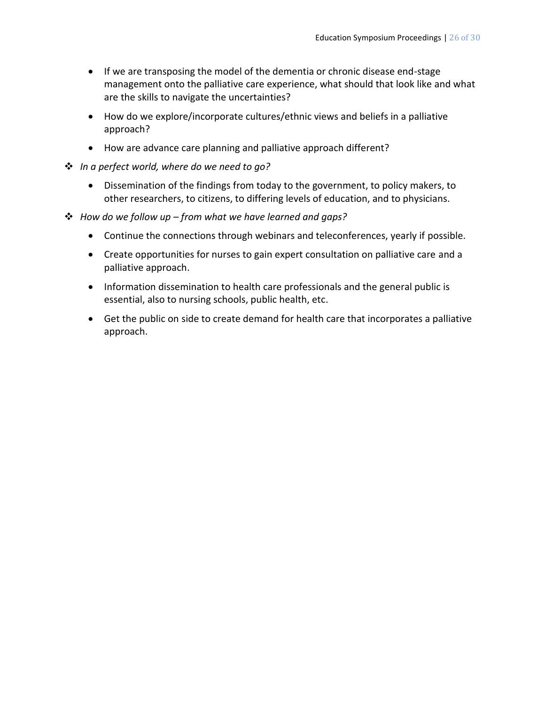- If we are transposing the model of the dementia or chronic disease end-stage management onto the palliative care experience, what should that look like and what are the skills to navigate the uncertainties?
- How do we explore/incorporate cultures/ethnic views and beliefs in a palliative approach?
- How are advance care planning and palliative approach different?
- *In a perfect world, where do we need to go?*
	- Dissemination of the findings from today to the government, to policy makers, to other researchers, to citizens, to differing levels of education, and to physicians.
- *How do we follow up – from what we have learned and gaps?*
	- Continue the connections through webinars and teleconferences, yearly if possible.
	- Create opportunities for nurses to gain expert consultation on palliative care and a palliative approach.
	- Information dissemination to health care professionals and the general public is essential, also to nursing schools, public health, etc.
	- Get the public on side to create demand for health care that incorporates a palliative approach.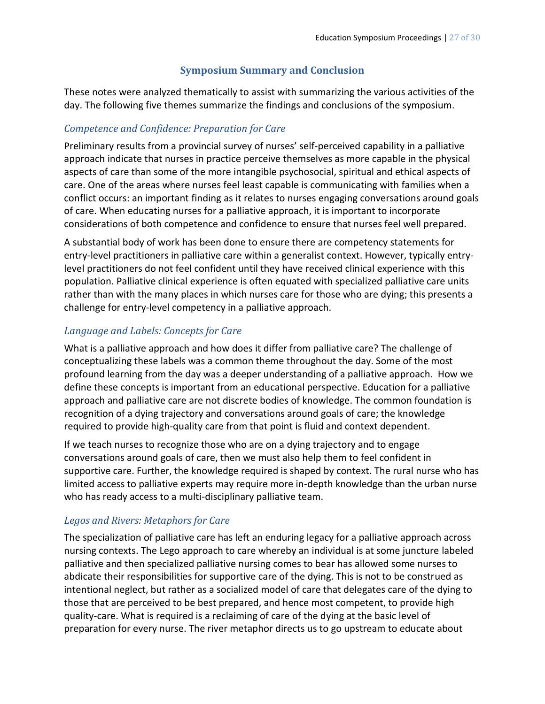## **Symposium Summary and Conclusion**

These notes were analyzed thematically to assist with summarizing the various activities of the day. The following five themes summarize the findings and conclusions of the symposium.

## *Competence and Confidence: Preparation for Care*

Preliminary results from a provincial survey of nurses' self-perceived capability in a palliative approach indicate that nurses in practice perceive themselves as more capable in the physical aspects of care than some of the more intangible psychosocial, spiritual and ethical aspects of care. One of the areas where nurses feel least capable is communicating with families when a conflict occurs: an important finding as it relates to nurses engaging conversations around goals of care. When educating nurses for a palliative approach, it is important to incorporate considerations of both competence and confidence to ensure that nurses feel well prepared.

A substantial body of work has been done to ensure there are competency statements for entry-level practitioners in palliative care within a generalist context. However, typically entrylevel practitioners do not feel confident until they have received clinical experience with this population. Palliative clinical experience is often equated with specialized palliative care units rather than with the many places in which nurses care for those who are dying; this presents a challenge for entry-level competency in a palliative approach.

## *Language and Labels: Concepts for Care*

What is a palliative approach and how does it differ from palliative care? The challenge of conceptualizing these labels was a common theme throughout the day. Some of the most profound learning from the day was a deeper understanding of a palliative approach. How we define these concepts is important from an educational perspective. Education for a palliative approach and palliative care are not discrete bodies of knowledge. The common foundation is recognition of a dying trajectory and conversations around goals of care; the knowledge required to provide high-quality care from that point is fluid and context dependent.

If we teach nurses to recognize those who are on a dying trajectory and to engage conversations around goals of care, then we must also help them to feel confident in supportive care. Further, the knowledge required is shaped by context. The rural nurse who has limited access to palliative experts may require more in-depth knowledge than the urban nurse who has ready access to a multi-disciplinary palliative team.

## *Legos and Rivers: Metaphors for Care*

The specialization of palliative care has left an enduring legacy for a palliative approach across nursing contexts. The Lego approach to care whereby an individual is at some juncture labeled palliative and then specialized palliative nursing comes to bear has allowed some nurses to abdicate their responsibilities for supportive care of the dying. This is not to be construed as intentional neglect, but rather as a socialized model of care that delegates care of the dying to those that are perceived to be best prepared, and hence most competent, to provide high quality-care. What is required is a reclaiming of care of the dying at the basic level of preparation for every nurse. The river metaphor directs us to go upstream to educate about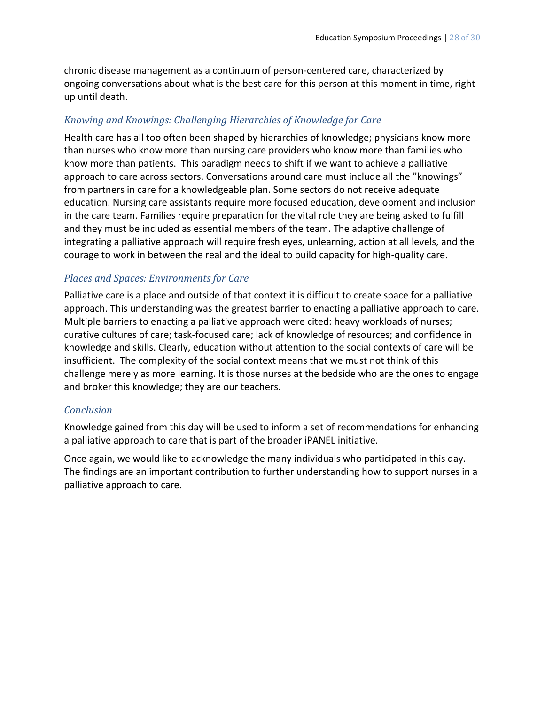chronic disease management as a continuum of person-centered care, characterized by ongoing conversations about what is the best care for this person at this moment in time, right up until death.

## *Knowing and Knowings: Challenging Hierarchies of Knowledge for Care*

Health care has all too often been shaped by hierarchies of knowledge; physicians know more than nurses who know more than nursing care providers who know more than families who know more than patients. This paradigm needs to shift if we want to achieve a palliative approach to care across sectors. Conversations around care must include all the "knowings" from partners in care for a knowledgeable plan. Some sectors do not receive adequate education. Nursing care assistants require more focused education, development and inclusion in the care team. Families require preparation for the vital role they are being asked to fulfill and they must be included as essential members of the team. The adaptive challenge of integrating a palliative approach will require fresh eyes, unlearning, action at all levels, and the courage to work in between the real and the ideal to build capacity for high-quality care.

#### *Places and Spaces: Environments for Care*

Palliative care is a place and outside of that context it is difficult to create space for a palliative approach. This understanding was the greatest barrier to enacting a palliative approach to care. Multiple barriers to enacting a palliative approach were cited: heavy workloads of nurses; curative cultures of care; task-focused care; lack of knowledge of resources; and confidence in knowledge and skills. Clearly, education without attention to the social contexts of care will be insufficient. The complexity of the social context means that we must not think of this challenge merely as more learning. It is those nurses at the bedside who are the ones to engage and broker this knowledge; they are our teachers.

#### *Conclusion*

Knowledge gained from this day will be used to inform a set of recommendations for enhancing a palliative approach to care that is part of the broader iPANEL initiative.

Once again, we would like to acknowledge the many individuals who participated in this day. The findings are an important contribution to further understanding how to support nurses in a palliative approach to care.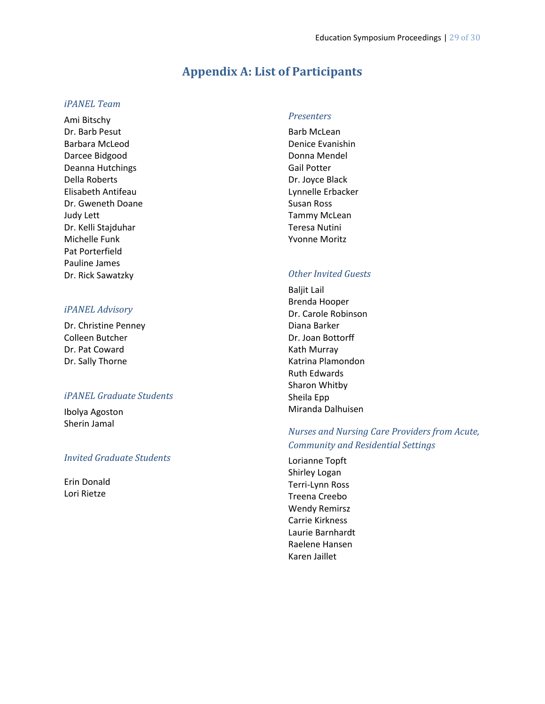## **Appendix A: List of Participants**

#### *iPANEL Team*

Ami Bitschy Dr. Barb Pesut Barbara McLeod Darcee Bidgood Deanna Hutchings Della Roberts Elisabeth Antifeau Dr. Gweneth Doane Judy Lett Dr. Kelli Stajduhar Michelle Funk Pat Porterfield Pauline James Dr. Rick Sawatzky

#### *iPANEL Advisory*

Dr. Christine Penney Colleen Butcher Dr. Pat Coward Dr. Sally Thorne

#### *iPANEL Graduate Students*

Ibolya Agoston Sherin Jamal

#### *Invited Graduate Students*

Erin Donald Lori Rietze

#### *Presenters*

Barb McLean Denice Evanishin Donna Mendel Gail Potter Dr. Joyce Black Lynnelle Erbacker Susan Ross Tammy McLean Teresa Nutini Yvonne Moritz

#### *Other Invited Guests*

Baljit Lail Brenda Hooper Dr. Carole Robinson Diana Barker Dr. Joan Bottorff Kath Murray Katrina Plamondon Ruth Edwards Sharon Whitby Sheila Epp Miranda Dalhuisen

#### *Nurses and Nursing Care Providers from Acute, Community and Residential Settings*

Lorianne Topft Shirley Logan Terri-Lynn Ross Treena Creebo Wendy Remirsz Carrie Kirkness Laurie Barnhardt Raelene Hansen Karen Jaillet